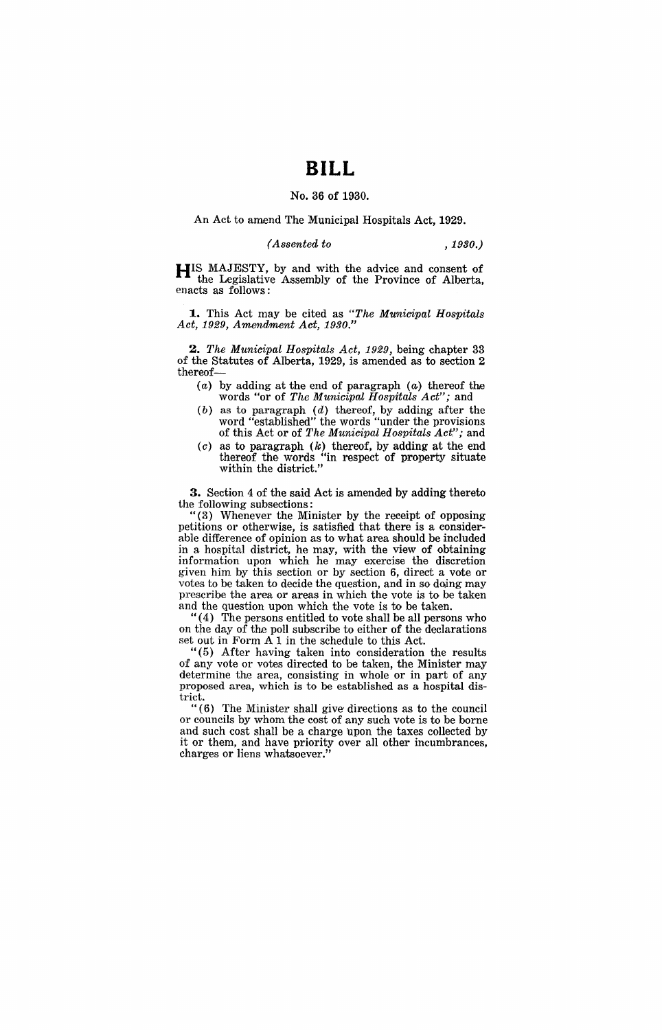# **BILL**

### No. 36 of 1930.

#### An Act to amend The Municipal Hospitals Act, 1929.

### (Assented to *,1930.)*

HIS MAJESTY, by and with the advice and consent of the Legislative Assembly of the Province of Alberta, enacts as follows:

**1.** This Act may be cited as "The Municipal Hospitals Act, 1929, Amendment Act, *1930."* 

2. The Municipal Hospitals Act, 1929, being chapter 33 of the Statutes of Alberta, 1929, is amended as to section 2 thereof-

- (a) by adding at the end of paragraph (a) thereof the words "or of The Municipal Hospitals Act"; and
- $(b)$  as to paragraph  $(d)$  thereof, by adding after the word "established" the words "under the provisions of this Act or of The Municipal Hospitals  $Act"$ ; and
- $(c)$  as to paragraph  $(k)$  thereof, by adding at the end thereof the words "in respect of property situate within the district."

3. Section 4 of the said Act is amended by adding thereto the following subsections:

(3) Whenever the Minister by the receipt of opposing petitions or otherwise, is satisfied that there is a considerable difference of opinion as to what area should be included in a hospital district, he may, with the view of obtaining information upon which he may exercise the discretion given him by this section or by section 6, direct a vote or votes to be taken to decide the question, and in so doing may prescribe the area or areas in which the vote is to be taken and the question upon which the vote is to be taken.

"( 4) The persons entitled to vote shall be all persons who on the day of the poll subscribe to either of the declarations set out in Form  $A_1$  in the schedule to this Act.

"(5) After having taken into consideration the results of any vote or votes directed to be taken, the Minister may determine the area, consisting in whole or in part of any proposed area, which is to be established as a hospital district.

"(6) The Minister shall give'directions as to the council or councils by whom the cost of any such vote is to be borne and such cost shall be a charge upon the taxes collected by it or them, and have priority over all other incumbrances, charges or liens whatsoever."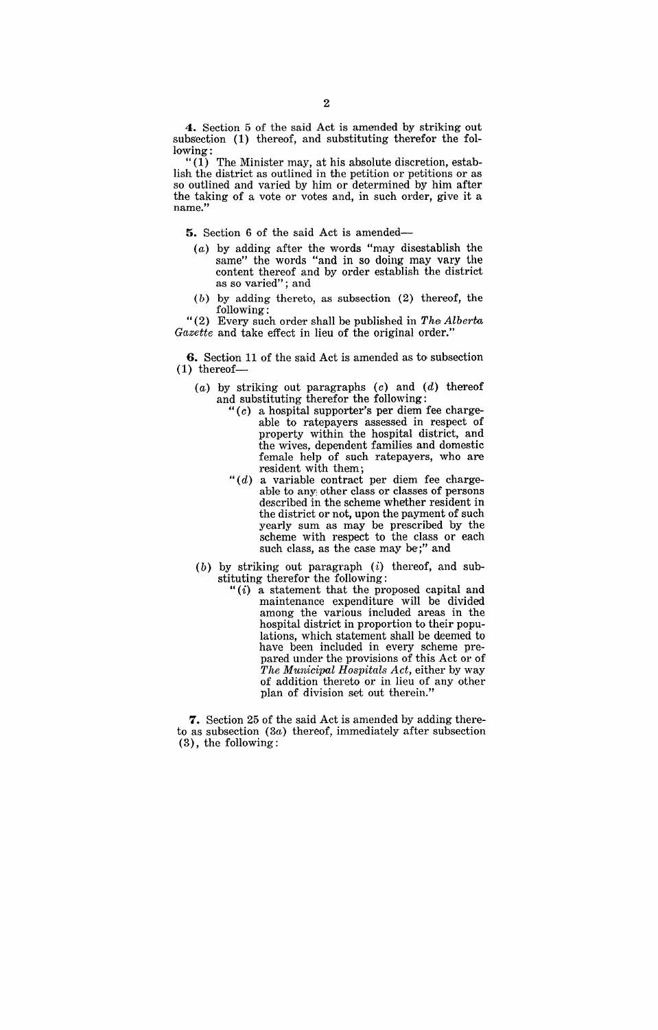**4.** Section 5 of the said Act is amended by striking out subsection (1) thereof, and substituting therefor the following:

" $(1)$  The Minister may, at his absolute discretion, establish the district as outlined in the petition or petitions or as so outlined and varied by him or determined by him after the taking of a vote or votes and, in such order, give it a name."

**5.** Section 6 of the said Act is amended-

- (a) by adding after the words "may disestablish the same" the words "and in so doing may vary the content thereof and by order establish the district as so varied"; and
- (b) by adding thereto, as subsection (2) thereof, the following:

"(2) Every such order shall be published in *The Alberta Gazette* and take effect in lieu of the original order."

**6.** Section 11 of the said Act is amended as to subsection  $(1)$  thereof-

- $(a)$  by striking out paragraphs  $(c)$  and  $(d)$  thereof and substituting therefor the following;
	- " (c) a hospital supporter's per diem fee chargeable to ratepayers assessed in respect of property within the hospital district, and the wives, dependent families and domestic female help of such ratepayers, who are resident with them;
	- *"(d)* a variable contract per diem fee chargeable to any: other class or classes of persons described in the scheme whether resident in the district or not, upon the payment of such yearly sum as may be prescribed by the scheme with respect to the class or each such class, as the case may be;" and
- $(b)$  by striking out paragraph  $(i)$  thereof, and substituting therefor the following:
	- " $(i)$  a statement that the proposed capital and maintenance expenditure will be divided among the various included areas in the hospital district in proportion to their populations, which statement shall be deemed to have been included in every scheme prepared under the provisions of this Act or of *The Municipal Hospitals Act*, either by way of addition thereto or in lieu of any other plan of division set out therein."

7. Section 25 of the said Act is amended by adding thereto as subsection (3a) thereof, immediately after subsection (3), the following;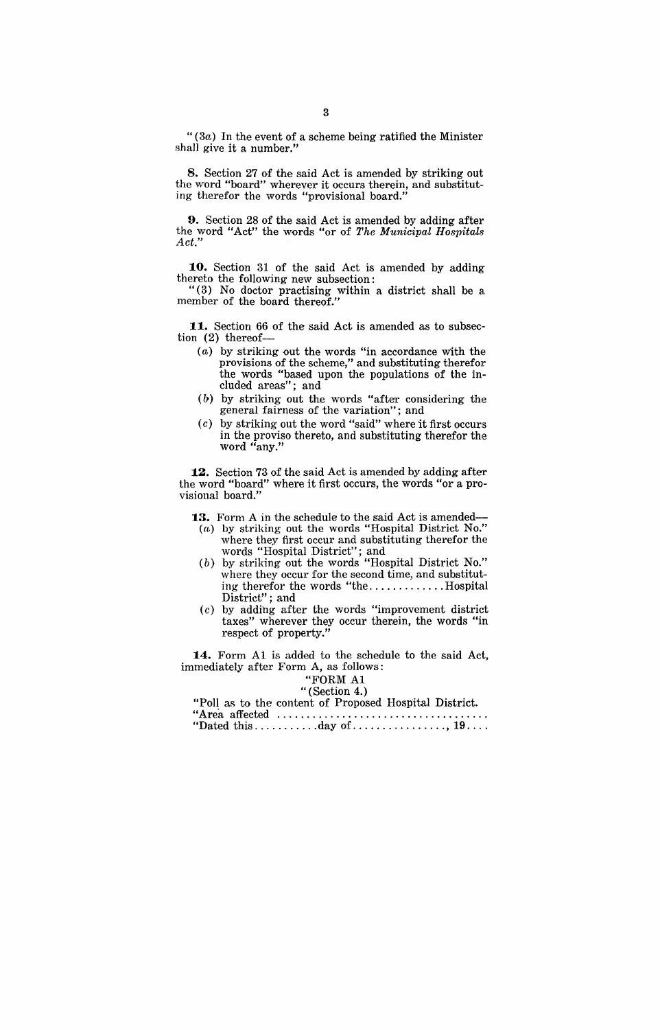" $(3a)$  In the event of a scheme being ratified the Minister shall give it a number."

8. Section 27 of the said Act is amended by striking out the word "board" wherever it occurs therein, and substituting therefor the words "provisional board."

**9.** Section 28 of the said Act is amended by adding after the word "Act" the words "or of *The Municipal Hospitals Act."* 

10. Section 31 of the said Act is amended by adding thereto the following new subsection:

" (3) No doctor practising within a district shall be a member of the board thereof."

**1.1..** Section 66 of the said Act is amended as to subsection (2) thereof--

- (a) by striking out the words "in accordance with the provisions of the scheme," and substituting therefor the words "based upon the populations of the included areas"; and
- (b) by striking out the words "after considering the general fairness of the variation"; and
- (c) by striking out the word "said" where it first occurs in the proviso thereto, and substituting therefor the word "any."

12. Section 73 of the said Act is amended by adding after the word "board" where it first occurs, the words "or a provisional board."

**1.3.** Form A in the schedule to the said Act is amended--

- (a) by striking out the words "Hospital District No." where they first occur and substituting therefor the words "Hospital District"; and
- (b) by striking out the words "Hospital District No." where they occur for the second time, and substituting therefor the words "the...............Hospital District"; and
- (c) by adding after the words "improvement district taxes" wherever they occur therein, the words "in respect of property."

**1.4.** Form Al is added to the schedule to the said Act, immediately after Form A, as follows:

### "FORM Al

## "(Section 4.)

| "Poll as to the content of Proposed Hospital District. |  |
|--------------------------------------------------------|--|
|                                                        |  |
|                                                        |  |

|--|--|--|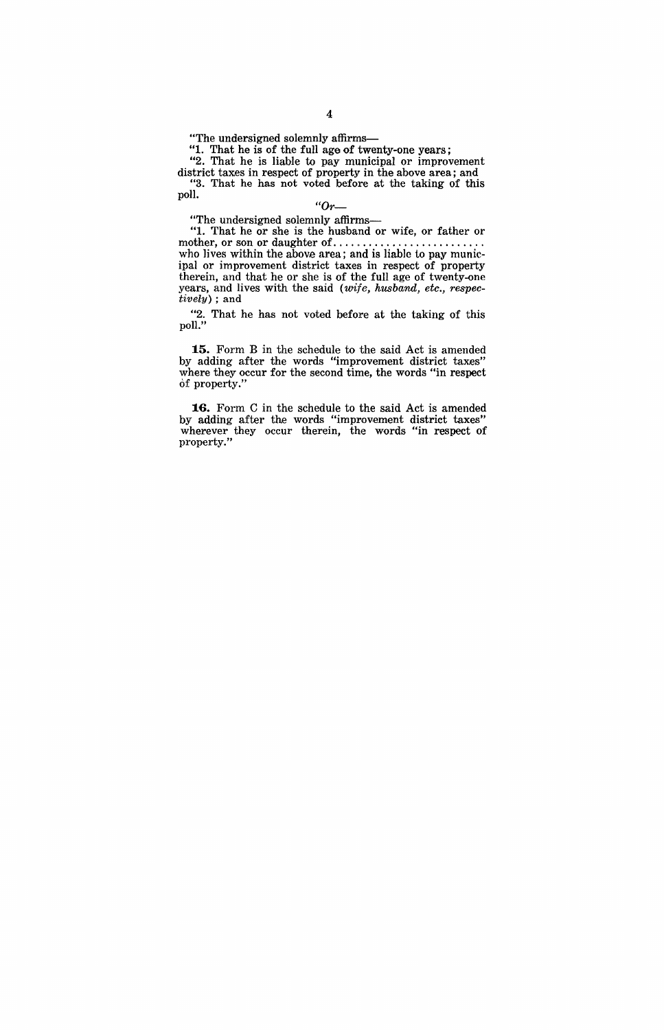"The undersigned solemnly affirms-

"1. That he is of the full age of twenty-one years;

"2. That he is liable to pay municipal or improvement district taxes in respect of property in the above area; and "3. That he has not voted before at the taking of this poll.

### *"Or-*

"The undersigned solemnly affirms-

"1. That he or she is the husband or wife, or father or mother, or son or daughter of .... , ..................... . who lives within the above area; and is liable to pay municipal or improvement district taxes in respect of property therein, and that he or she is of the full age of twenty-one years, and lives with the said (wife, husband, etc., respectively) ; and

"2. That he has not voted before at the taking of this poll."

**15.** Form B in the schedule to the said Act is amended by adding after the words "improvement district taxes" where they occur for the second time, the words "in respect Of property."

**16.** Form C in the schedule to the said Act is amended by adding after the words "improvement district taxes" wherever they occur therein, the words "in respect of property."